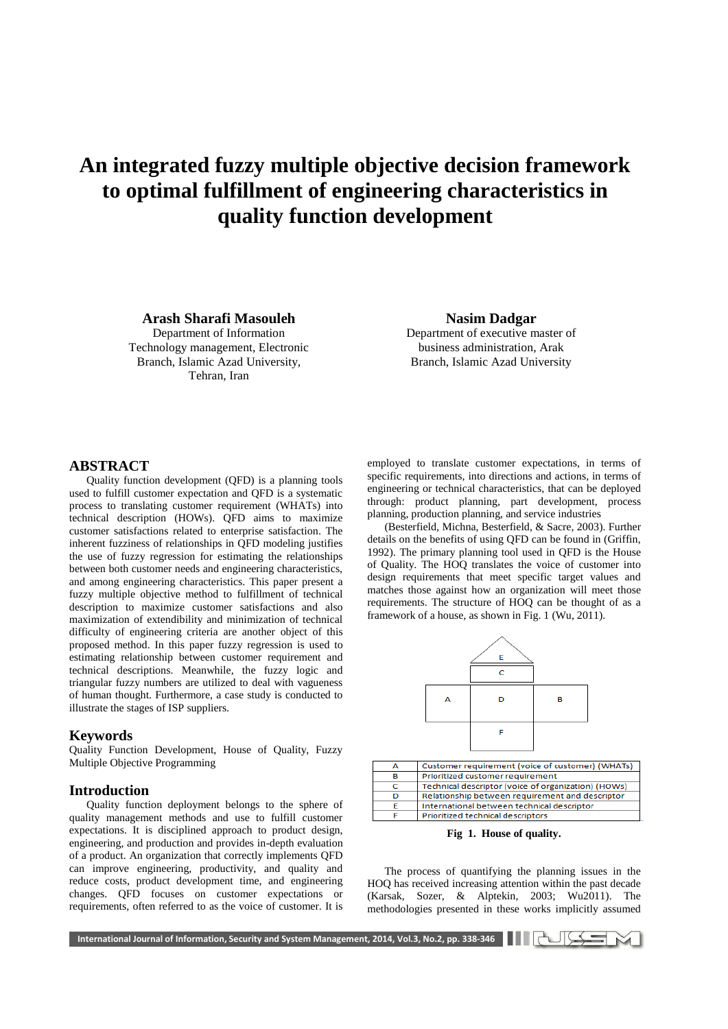# **An integrated fuzzy multiple objective decision framework to optimal fulfillment of engineering characteristics in quality function development**

**Arash Sharafi Masouleh** Department of Information

Technology management, Electronic Branch, Islamic Azad University, Tehran, Iran

**Nasim Dadgar** Department of executive master of business administration, Arak

Branch, Islamic Azad University

### **ABSTRACT**

Quality function development (QFD) is a planning tools used to fulfill customer expectation and QFD is a systematic process to translating customer requirement (WHATs) into technical description (HOWs). QFD aims to maximize customer satisfactions related to enterprise satisfaction. The inherent fuzziness of relationships in QFD modeling justifies the use of fuzzy regression for estimating the relationships between both customer needs and engineering characteristics, and among engineering characteristics. This paper present a fuzzy multiple objective method to fulfillment of technical description to maximize customer satisfactions and also maximization of extendibility and minimization of technical difficulty of engineering criteria are another object of this proposed method. In this paper fuzzy regression is used to estimating relationship between customer requirement and technical descriptions. Meanwhile, the fuzzy logic and triangular fuzzy numbers are utilized to deal with vagueness of human thought. Furthermore, a case study is conducted to illustrate the stages of ISP suppliers.

#### **Keywords**

Quality Function Development, House of Quality, Fuzzy Multiple Objective Programming

#### **Introduction**

Quality function deployment belongs to the sphere of quality management methods and use to fulfill customer expectations. It is disciplined approach to product design, engineering, and production and provides in-depth evaluation of a product. An organization that correctly implements QFD can improve engineering, productivity, and quality and reduce costs, product development time, and engineering changes. QFD focuses on customer expectations or requirements, often referred to as the voice of customer. It is

employed to translate customer expectations, in terms of specific requirements, into directions and actions, in terms of engineering or technical characteristics, that can be deployed through: product planning, part development, process planning, production planning, and service industries

(Besterfield, Michna, Besterfield, & Sacre, 2003). Further details on the benefits of using QFD can be found in (Griffin, 1992). The primary planning tool used in QFD is the House of Quality. The HOQ translates the voice of customer into design requirements that meet specific target values and matches those against how an organization will meet those requirements. The structure of HOQ can be thought of as a framework of a house, as shown in Fig. 1 (Wu, 2011).



**Fig 1. House of quality.**

The process of quantifying the planning issues in the HOQ has received increasing attention within the past decade (Karsak, Sozer, & Alptekin, 2003; Wu2011). The methodologies presented in these works implicitly assumed

International Journal of Information, Security and System Management, 2014, Vol.3, No.2, pp. 338-346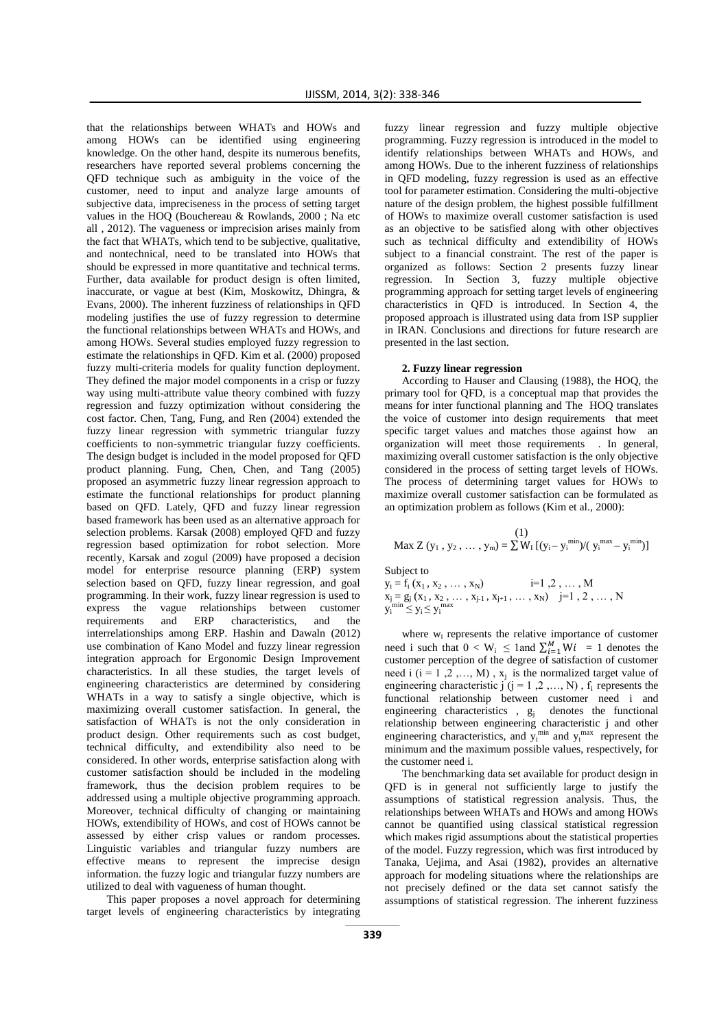that the relationships between WHATs and HOWs and among HOWs can be identified using engineering knowledge. On the other hand, despite its numerous benefits, researchers have reported several problems concerning the QFD technique such as ambiguity in the voice of the customer, need to input and analyze large amounts of subjective data, impreciseness in the process of setting target values in the HOQ (Bouchereau & Rowlands, 2000 ; Na etc all , 2012). The vagueness or imprecision arises mainly from the fact that WHATs, which tend to be subjective, qualitative, and nontechnical, need to be translated into HOWs that should be expressed in more quantitative and technical terms. Further, data available for product design is often limited, inaccurate, or vague at best (Kim, Moskowitz, Dhingra, & Evans, 2000). The inherent fuzziness of relationships in QFD modeling justifies the use of fuzzy regression to determine the functional relationships between WHATs and HOWs, and among HOWs. Several studies employed fuzzy regression to estimate the relationships in QFD. Kim et al. (2000) proposed fuzzy multi-criteria models for quality function deployment. They defined the major model components in a crisp or fuzzy way using multi-attribute value theory combined with fuzzy regression and fuzzy optimization without considering the cost factor. Chen, Tang, Fung, and Ren (2004) extended the fuzzy linear regression with symmetric triangular fuzzy coefficients to non-symmetric triangular fuzzy coefficients. The design budget is included in the model proposed for QFD product planning. Fung, Chen, Chen, and Tang (2005) proposed an asymmetric fuzzy linear regression approach to estimate the functional relationships for product planning based on QFD. Lately, QFD and fuzzy linear regression based framework has been used as an alternative approach for selection problems. Karsak (2008) employed QFD and fuzzy regression based optimization for robot selection. More recently, Karsak and zogul (2009) have proposed a decision model for enterprise resource planning (ERP) system selection based on QFD, fuzzy linear regression, and goal programming. In their work, fuzzy linear regression is used to express the vague relationships between customer requirements and ERP characteristics, and the interrelationships among ERP. Hashin and Dawaln (2012) use combination of Kano Model and fuzzy linear regression integration approach for Ergonomic Design Improvement characteristics. In all these studies, the target levels of engineering characteristics are determined by considering WHATs in a way to satisfy a single objective, which is maximizing overall customer satisfaction. In general, the satisfaction of WHATs is not the only consideration in product design. Other requirements such as cost budget, technical difficulty, and extendibility also need to be considered. In other words, enterprise satisfaction along with customer satisfaction should be included in the modeling framework, thus the decision problem requires to be addressed using a multiple objective programming approach. Moreover, technical difficulty of changing or maintaining HOWs, extendibility of HOWs, and cost of HOWs cannot be assessed by either crisp values or random processes. Linguistic variables and triangular fuzzy numbers are effective means to represent the imprecise design information. the fuzzy logic and triangular fuzzy numbers are utilized to deal with vagueness of human thought.

This paper proposes a novel approach for determining target levels of engineering characteristics by integrating

fuzzy linear regression and fuzzy multiple objective programming. Fuzzy regression is introduced in the model to identify relationships between WHATs and HOWs, and among HOWs. Due to the inherent fuzziness of relationships in QFD modeling, fuzzy regression is used as an effective tool for parameter estimation. Considering the multi-objective nature of the design problem, the highest possible fulfillment of HOWs to maximize overall customer satisfaction is used as an objective to be satisfied along with other objectives such as technical difficulty and extendibility of HOWs subject to a financial constraint. The rest of the paper is organized as follows: Section 2 presents fuzzy linear regression. In Section 3, fuzzy multiple objective programming approach for setting target levels of engineering characteristics in QFD is introduced. In Section 4, the proposed approach is illustrated using data from ISP supplier in IRAN. Conclusions and directions for future research are presented in the last section.

#### **2. Fuzzy linear regression**

According to Hauser and Clausing (1988), the HOQ, the primary tool for QFD, is a conceptual map that provides the means for inter functional planning and The HOQ translates the voice of customer into design requirements that meet specific target values and matches those against how an organization will meet those requirements . In general, maximizing overall customer satisfaction is the only objective considered in the process of setting target levels of HOWs. The process of determining target values for HOWs to maximize overall customer satisfaction can be formulated as an optimization problem as follows (Kim et al., 2000):

$$
\text{Max } Z\left(y_1\,,\,y_2\,,\,\ldots\,,\,y_m\right) = \sum W_I\,[(y_i - y_i^{\,\min})/\textcolor{red}{(}\,y_i^{\,\max} \!- y_i^{\,\min})]
$$

Subject to

 $y_i = f_i(x_1, x_2)$  $i=1\; ,2\; ,\; \ldots\; ,$  M  $x_j = g_j(x_1, x_2, \dots, x_{j-1}, x_{j+1}, \dots, x_N)$  j=1, 2, ..., N  $y_i^{\text{min}} \le y_i \le y_i^{\text{max}}$ 

where  $w_i$  represents the relative importance of customer need i such that  $0 < W_i \leq 1$  and  $\sum_{i=1}^{M} Wi = 1$  denotes the customer perception of the degree of satisfaction of customer need i  $(i = 1, 2, ..., M)$ ,  $x_j$  is the normalized target value of engineering characteristic j  $(j = 1, 2, ..., N)$ ,  $f_i$  represents the functional relationship between customer need i and engineering characteristics ,  $g_i$  denotes the functional relationship between engineering characteristic j and other engineering characteristics, and  $y_i^{\min}$  and  $y_i^{\max}$  represent the minimum and the maximum possible values, respectively, for the customer need i.

The benchmarking data set available for product design in QFD is in general not sufficiently large to justify the assumptions of statistical regression analysis. Thus, the relationships between WHATs and HOWs and among HOWs cannot be quantified using classical statistical regression which makes rigid assumptions about the statistical properties of the model. Fuzzy regression, which was first introduced by Tanaka, Uejima, and Asai (1982), provides an alternative approach for modeling situations where the relationships are not precisely defined or the data set cannot satisfy the assumptions of statistical regression. The inherent fuzziness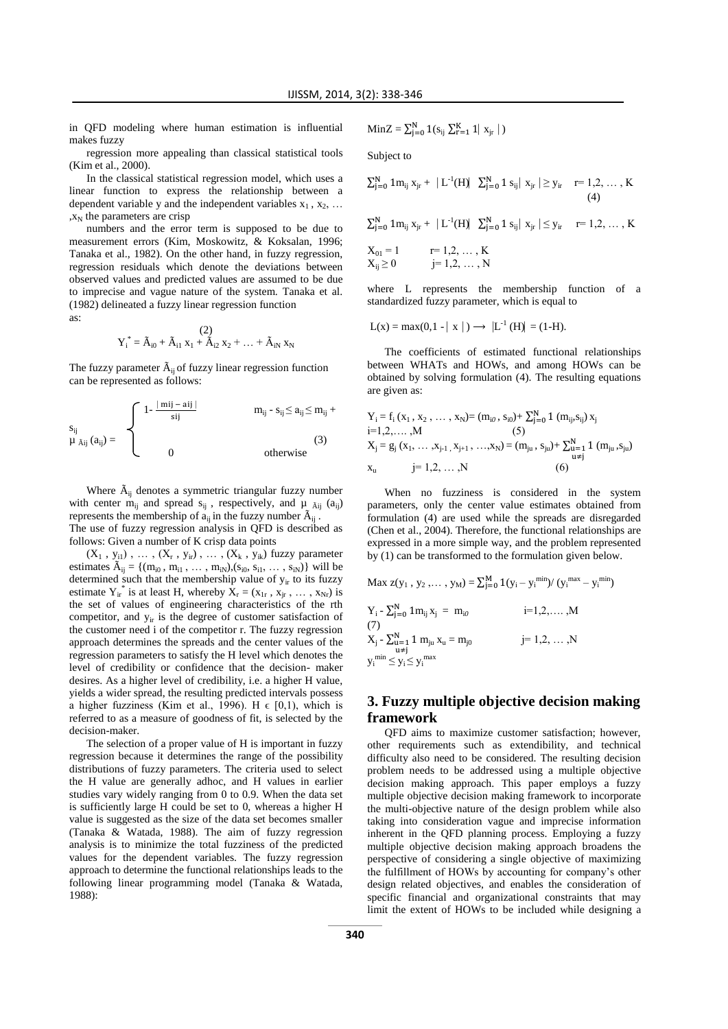in QFD modeling where human estimation is influential makes fuzzy

regression more appealing than classical statistical tools (Kim et al., 2000).

In the classical statistical regression model, which uses a linear function to express the relationship between a dependent variable y and the independent variables  $x_1, x_2, ...$  $, x_N$  the parameters are crisp

numbers and the error term is supposed to be due to measurement errors (Kim, Moskowitz, & Koksalan, 1996; Tanaka et al., 1982). On the other hand, in fuzzy regression, regression residuals which denote the deviations between observed values and predicted values are assumed to be due to imprecise and vague nature of the system. Tanaka et al. (1982) delineated a fuzzy linear regression function as:

$$
Y_i^*=\tilde{A}_{i0}+\tilde{A}_{i1}~x_1+\tilde{A}_{i2}~x_2+\ldots+\tilde{A}_{iN}~x_N
$$

The fuzzy parameter  $\tilde{A}_{ij}$  of fuzzy linear regression function can be represented as follows:

$$
\begin{aligned} s_{ij} \\ \mu_{\tilde{A}ij}\left(a_{ij}\right)= \begin{cases} 1-\frac{\mid\,mi\mid-\,ai\mid}{sij} \qquad & m_{ij}\text{ - } s_{ij} \leq a_{ij} \leq m_{ij} \text{ + } \\ & 0 \qquad & \text{otherwise} \end{cases} \end{aligned} \tag{3}
$$

Where  $\tilde{A}_{ii}$  denotes a symmetric triangular fuzzy number with center  $m_{ij}$  and spread  $s_{ij}$ , respectively, and  $\mu$   $\tilde{A}ij$  ( $a_{ij}$ ) represents the membership of  $a_{ii}$  in the fuzzy number  $\tilde{A}_{ii}$ . The use of fuzzy regression analysis in QFD is described as follows: Given a number of K crisp data points

 $(X_1, y_{i1})$ , ...,  $(X_r, y_{ir})$ , ...,  $(X_k, y_{ik})$  fuzzy parameter estimates  $\tilde{A}_{ij} = \{(m_{i0}, m_{i1}, \dots, m_{iN}), (s_{i0}, s_{i1}, \dots, s_{iN})\}$  will be determined such that the membership value of  $y<sub>ir</sub>$  to its fuzzy estimate  $Y_{ir}^*$  is at least H, whereby  $\overline{X}_r = (x_{1r}, x_{jr}, \dots, x_{Nr})$  is the set of values of engineering characteristics of the rth competitor, and  $y_{ir}$  is the degree of customer satisfaction of the customer need i of the competitor r. The fuzzy regression approach determines the spreads and the center values of the regression parameters to satisfy the H level which denotes the level of credibility or confidence that the decision- maker desires. As a higher level of credibility, i.e. a higher H value, yields a wider spread, the resulting predicted intervals possess a higher fuzziness (Kim et al., 1996). H  $\epsilon$  [0,1), which is referred to as a measure of goodness of fit, is selected by the decision-maker.

The selection of a proper value of H is important in fuzzy regression because it determines the range of the possibility distributions of fuzzy parameters. The criteria used to select the H value are generally adhoc, and H values in earlier studies vary widely ranging from 0 to 0.9. When the data set is sufficiently large H could be set to 0, whereas a higher H value is suggested as the size of the data set becomes smaller (Tanaka & Watada, 1988). The aim of fuzzy regression analysis is to minimize the total fuzziness of the predicted values for the dependent variables. The fuzzy regression approach to determine the functional relationships leads to the following linear programming model (Tanaka & Watada, 1988):

MinZ = 
$$
\sum_{j=0}^{N} 1(s_{ij} \sum_{r=1}^{K} 1 | x_{jr} |)
$$

Subject to

$$
\textstyle \sum_{j=0}^N 1 m_{ij} \ x_{jr} + \ |L^{\text{-}1}(H) \hspace{-0.05cm} \mid \ \sum_{j=0}^N 1 \ s_{ij} \hspace{-0.05cm} \mid \ x_{jr} \hspace{-0.05cm} \mid \ \geq y_{ir} \hspace{-0.2cm} \mid \ \tau = 1, 2, \ \ldots \ , \ K \hspace{-0.1cm} \hspace{0.1cm} \hspace{0.1cm} \hspace{0.1cm} \hspace{0.1cm} \hspace{0.1cm} \ (4)
$$

 $\sum_{j=0}^{N} 1 m_{ij} x_{jr} + |L^{-1}(H)| \sum_{j=0}^{N} 1 s_{ij} | x_{jr} | \leq y_{ir} \quad r=1,2,..., K$ 

$$
X_{01} = 1
$$
  $r= 1,2,..., K$   
\n $X_{ij} \ge 0$   $j= 1,2,..., N$ 

where L represents the membership function of a standardized fuzzy parameter, which is equal to

$$
L(x) = max(0, 1 - |x|) \rightarrow |L^{-1}(H)| = (1 - H).
$$

The coefficients of estimated functional relationships between WHATs and HOWs, and among HOWs can be obtained by solving formulation (4). The resulting equations are given as:

$$
\begin{aligned} Y_i &= f_i(x_1, x_2, \dots, x_N) = (m_{i0}, s_{i0}) + \sum_{j=0}^N 1(m_{ij}, s_{ij}) \, x_j \\ &= 1, 2, \dots, M \\ X_j &= g_j(x_1, \dots, x_{j-1}, x_{j+1}, \dots, x_N) = (m_{ju}, s_{ju}) + \sum_{\substack{u=1 \\ u \neq j}}^N 1(m_{ju}, s_{ju}) \\ x_u &= 1, 2, \dots, N \end{aligned}
$$

When no fuzziness is considered in the system parameters, only the center value estimates obtained from formulation (4) are used while the spreads are disregarded (Chen et al., 2004). Therefore, the functional relationships are expressed in a more simple way, and the problem represented by (1) can be transformed to the formulation given below.

$$
Max z(y_1, y_2, ..., y_M) = \sum_{j=0}^{M} 1(y_i - y_i^{min})/(y_i^{max} - y_i^{min})
$$
  
\n
$$
Y_i - \sum_{j=0}^{N} 1m_{ij} x_j = m_{i0}
$$
  
\n
$$
i = 1, 2, ..., M
$$
  
\n(7)  
\n
$$
X_j - \sum_{\substack{u=1 \ u \neq j}}^{N} 1 m_{ju} x_u = m_{j0}
$$
  
\n
$$
j = 1, 2, ..., N
$$
  
\n
$$
y_i^{min} \le y_i \le y_i^{max}
$$

## **3. Fuzzy multiple objective decision making framework**

QFD aims to maximize customer satisfaction; however, other requirements such as extendibility, and technical difficulty also need to be considered. The resulting decision problem needs to be addressed using a multiple objective decision making approach. This paper employs a fuzzy multiple objective decision making framework to incorporate the multi-objective nature of the design problem while also taking into consideration vague and imprecise information inherent in the QFD planning process. Employing a fuzzy multiple objective decision making approach broadens the perspective of considering a single objective of maximizing the fulfillment of HOWs by accounting for company's other design related objectives, and enables the consideration of specific financial and organizational constraints that may limit the extent of HOWs to be included while designing a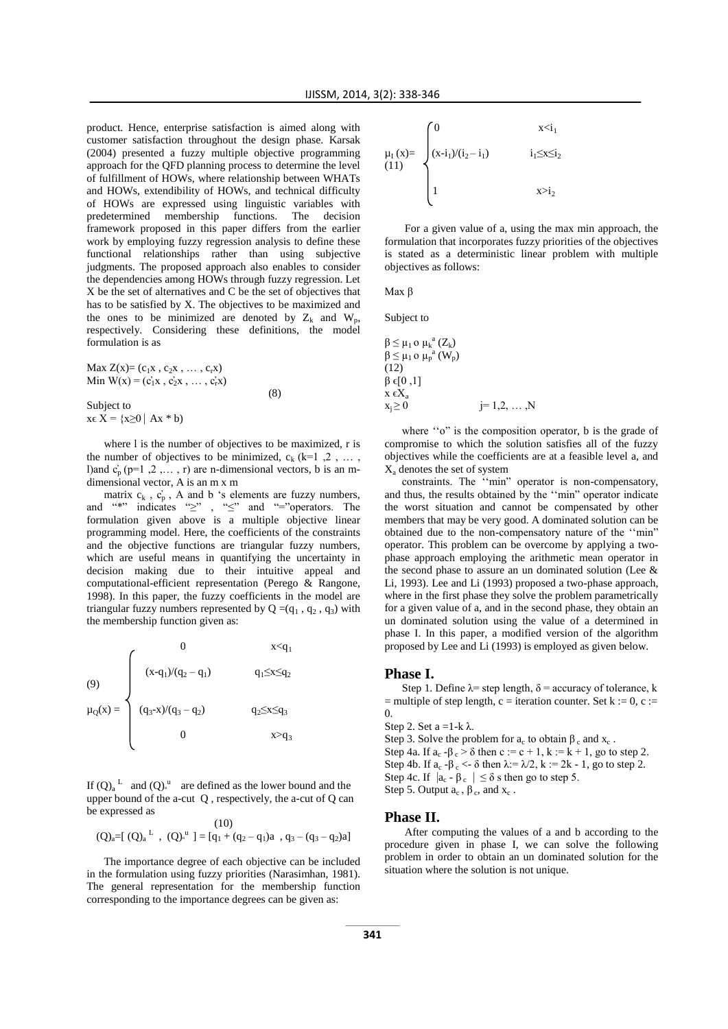product. Hence, enterprise satisfaction is aimed along with customer satisfaction throughout the design phase. Karsak (2004) presented a fuzzy multiple objective programming approach for the QFD planning process to determine the level of fulfillment of HOWs, where relationship between WHATs and HOWs, extendibility of HOWs, and technical difficulty of HOWs are expressed using linguistic variables with predetermined membership functions. The decision framework proposed in this paper differs from the earlier work by employing fuzzy regression analysis to define these functional relationships rather than using subjective judgments. The proposed approach also enables to consider the dependencies among HOWs through fuzzy regression. Let X be the set of alternatives and C be the set of objectives that has to be satisfied by X. The objectives to be maximized and the ones to be minimized are denoted by  $Z_k$  and  $W_p$ , respectively. Considering these definitions, the model formulation is as

Max  $Z(x) = (c_1x, c_2x, ..., c_rx)$ Min  $W(x) = (c_1'x, c_2'x, ..., c_r'x)$  (8) Subject to  $x \in X = \{x \ge 0 \mid Ax * b\}$ 

where l is the number of objectives to be maximized, r is the number of objectives to be minimized,  $c_k$  ( $k=1, 2, \ldots$ ), l)and  $c'_p$  (p=1,2,..., r) are n-dimensional vectors, b is an mdimensional vector, A is an m x m

matrix  $c_k$ ,  $c_p$ , A and b 's elements are fuzzy numbers, and "\*" indicates "≥" , "≤" and "="operators. The formulation given above is a multiple objective linear programming model. Here, the coefficients of the constraints and the objective functions are triangular fuzzy numbers, which are useful means in quantifying the uncertainty in decision making due to their intuitive appeal and computational-efficient representation (Perego & Rangone, 1998). In this paper, the fuzzy coefficients in the model are triangular fuzzy numbers represented by  $Q = (q_1, q_2, q_3)$  with the membership function given as:

(9)  
\n
$$
\mu_Q(x) = \begin{cases}\n0 & x < q_1 \\
(x-q_1)/(q_2 - q_1) & q_1 \le x \le q_2 \\
(q_3 - x)/(q_3 - q_2) & q_2 \le x \le q_3 \\
0 & x > q_3\n\end{cases}
$$

If  $(Q)_a^L$  and  $(Q)_a^u$  are defined as the lower bound and the upper bound of the a-cut Q , respectively, the a-cut of Q can be expressed as

$$
\begin{array}{c} (10)\\ (Q)_a = [(Q)_a{}^L \ , \ (Q)_a{}^u ] = [q_1 + (q_2 - q_1)a \ , \ q_3 - (q_3 - q_2)a]\end{array}
$$

The importance degree of each objective can be included in the formulation using fuzzy priorities (Narasimhan, 1981). The general representation for the membership function corresponding to the importance degrees can be given as:

$$
\mu_I(x) = \begin{cases} 0 & x < i_1 \\ (x - i_1)/(i_2 - i_1) & i_1 \leq x \leq i_2 \\ 1 & x > i_2 \end{cases}
$$

For a given value of a, using the max min approach, the formulation that incorporates fuzzy priorities of the objectives is stated as a deterministic linear problem with multiple objectives as follows:

Max β

 $($ 

 $\overline{\chi}$ 

Subject to

$$
\beta \leq \mu_1 \circ \mu_k^a(Z_k)
$$
  
\n
$$
\beta \leq \mu_1 \circ \mu_p^a(W_p)
$$
  
\n(12)  
\n
$$
\beta \in [0,1]
$$
  
\n
$$
x \in X_a
$$
  
\n
$$
x_j \geq 0
$$
  
\n
$$
j = 1,2, ..., N
$$

where "o" is the composition operator, b is the grade of compromise to which the solution satisfies all of the fuzzy objectives while the coefficients are at a feasible level a, and X<sup>a</sup> denotes the set of system

constraints. The ''min" operator is non-compensatory, and thus, the results obtained by the ''min" operator indicate the worst situation and cannot be compensated by other members that may be very good. A dominated solution can be obtained due to the non-compensatory nature of the ''min" operator. This problem can be overcome by applying a twophase approach employing the arithmetic mean operator in the second phase to assure an un dominated solution (Lee & Li, 1993). Lee and Li (1993) proposed a two-phase approach, where in the first phase they solve the problem parametrically for a given value of a, and in the second phase, they obtain an un dominated solution using the value of a determined in phase I. In this paper, a modified version of the algorithm proposed by Lee and Li (1993) is employed as given below.

#### **Phase I.**

Step 1. Define  $\lambda$ = step length,  $\delta$  = accuracy of tolerance, k  $=$  multiple of step length, c = iteration counter. Set k := 0, c :=  $\Omega$ .

Step 2. Set  $a = 1-k \lambda$ . Step 3. Solve the problem for  $a_c$  to obtain  $\beta_c$  and  $x_c$ . Step 4a. If  $a_c - \beta_c > \delta$  then  $c := c + 1$ ,  $k := k + 1$ , go to step 2. Step 4b. If  $a_c - \beta_c < \delta$  then  $\lambda = \lambda/2$ ,  $k := 2k - 1$ , go to step 2. Step 4c. If  $|a_c - \beta_c| \le \delta$  s then go to step 5. Step 5. Output  $a_c$ ,  $\beta_c$ , and  $x_c$ .

#### **Phase II.**

After computing the values of a and b according to the procedure given in phase I, we can solve the following problem in order to obtain an un dominated solution for the situation where the solution is not unique.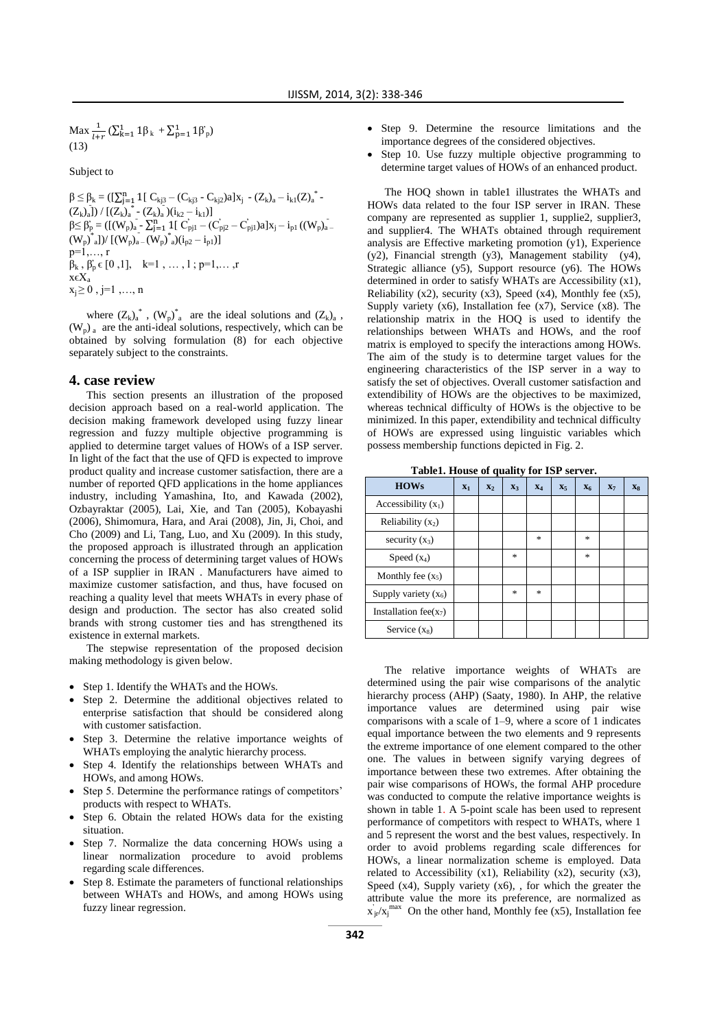Max  $\frac{1}{l+r}$  ( $\sum_{k=1}^{1} 1\beta_k + \sum_{p=1}^{1} 1\beta_p$ ) (13)

Subject to

 $β ≤ β<sub>k</sub> = ([Σ<sub>j=1</sub><sup>n</sup> 1[ C<sub>kj3</sub> - (C<sub>kj3</sub> - C<sub>kj2</sub>)a]x<sub>j</sub> - (Z<sub>k</sub>)<sub>a</sub> - i<sub>k1</sub>(Z)<sub>a</sub><sup>*</sup> (Z_k)_a]) / [(Z_k)_a^* - (Z_k)_a^*](i_{k2} - i_{k1})]$  $β≤ β'_{p} = ([(W_{p})_{a} - \sum_{j=1}^{n} 1[ C'_{pj1} - (C'_{pj2} - C'_{pj1})a]x_{j} - i_{p1} ((W_{p})_{a} (W_p)^*$ <sub>a</sub>])/  $[(W_p)^*$ <sub>a</sub> -  $(W_p)^*$ <sub>a</sub>) $(i_{p2} - i_{p1})]$  $p=1,\ldots, r$  $\beta_k$ ,  $\beta'_p \in [0,1]$ ,  $k=1$ , ..., 1; p=1,..., r xϵX<sup>a</sup>  $x_i \geq 0$ , j=1,..., n

where  $(Z_k)_a^*$ ,  $(W_p)^*_{a}$  are the ideal solutions and  $(Z_k)_a$ ,  $(W_p)$ <sub>a</sub> are the anti-ideal solutions, respectively, which can be obtained by solving formulation (8) for each objective separately subject to the constraints.

#### **4. case review**

This section presents an illustration of the proposed decision approach based on a real-world application. The decision making framework developed using fuzzy linear regression and fuzzy multiple objective programming is applied to determine target values of HOWs of a ISP server. In light of the fact that the use of QFD is expected to improve product quality and increase customer satisfaction, there are a number of reported QFD applications in the home appliances industry, including Yamashina, Ito, and Kawada (2002), Ozbayraktar (2005), Lai, Xie, and Tan (2005), Kobayashi (2006), Shimomura, Hara, and Arai (2008), Jin, Ji, Choi, and Cho (2009) and Li, Tang, Luo, and Xu (2009). In this study, the proposed approach is illustrated through an application concerning the process of determining target values of HOWs of a ISP supplier in IRAN . Manufacturers have aimed to maximize customer satisfaction, and thus, have focused on reaching a quality level that meets WHATs in every phase of design and production. The sector has also created solid brands with strong customer ties and has strengthened its existence in external markets.

The stepwise representation of the proposed decision making methodology is given below.

- Step 1. Identify the WHATs and the HOWs.
- Step 2. Determine the additional objectives related to enterprise satisfaction that should be considered along with customer satisfaction.
- Step 3. Determine the relative importance weights of WHATs employing the analytic hierarchy process.
- Step 4. Identify the relationships between WHATs and HOWs, and among HOWs.
- Step 5. Determine the performance ratings of competitors' products with respect to WHATs.
- Step 6. Obtain the related HOWs data for the existing situation.
- Step 7. Normalize the data concerning HOWs using a linear normalization procedure to avoid problems regarding scale differences.
- Step 8. Estimate the parameters of functional relationships between WHATs and HOWs, and among HOWs using fuzzy linear regression.
- Step 9. Determine the resource limitations and the importance degrees of the considered objectives.
- Step 10. Use fuzzy multiple objective programming to determine target values of HOWs of an enhanced product.

The HOQ shown in table1 illustrates the WHATs and HOWs data related to the four ISP server in IRAN. These company are represented as supplier 1, supplie2, supplier3, and supplier4. The WHATs obtained through requirement analysis are Effective marketing promotion (y1), Experience (y2), Financial strength (y3), Management stability (y4), Strategic alliance (y5), Support resource (y6). The HOWs determined in order to satisfy WHATs are Accessibility (x1), Reliability  $(x2)$ , security  $(x3)$ , Speed  $(x4)$ , Monthly fee  $(x5)$ , Supply variety (x6), Installation fee (x7), Service (x8). The relationship matrix in the HOQ is used to identify the relationships between WHATs and HOWs, and the roof matrix is employed to specify the interactions among HOWs. The aim of the study is to determine target values for the engineering characteristics of the ISP server in a way to satisfy the set of objectives. Overall customer satisfaction and extendibility of HOWs are the objectives to be maximized, whereas technical difficulty of HOWs is the objective to be minimized. In this paper, extendibility and technical difficulty of HOWs are expressed using linguistic variables which possess membership functions depicted in Fig. 2.

| Table1. House of quality for ISP server. |  |  |
|------------------------------------------|--|--|
|------------------------------------------|--|--|

| <b>HOWs</b>               | $X_1$ | $X_2$ | $X_3$         | $X_4$                             | X <sub>5</sub> | X <sub>6</sub>   | X <sub>7</sub> | X <sub>8</sub> |
|---------------------------|-------|-------|---------------|-----------------------------------|----------------|------------------|----------------|----------------|
| Accessibility $(x_1)$     |       |       |               |                                   |                |                  |                |                |
| Reliability $(x_2)$       |       |       |               |                                   |                |                  |                |                |
| security $(x_3)$          |       |       |               | $\frac{1}{2\pi}$                  |                | $\frac{1}{2\pi}$ |                |                |
| Speed $(x_4)$             |       |       | $\frac{1}{2}$ |                                   |                | $\frac{1}{2}$    |                |                |
| Monthly fee $(x_5)$       |       |       |               |                                   |                |                  |                |                |
| Supply variety $(x_6)$    |       |       | $\frac{1}{2}$ | $\frac{d\mathbf{x}}{d\mathbf{x}}$ |                |                  |                |                |
| Installation fee( $x_7$ ) |       |       |               |                                   |                |                  |                |                |
| Service $(x_8)$           |       |       |               |                                   |                |                  |                |                |

The relative importance weights of WHATs are determined using the pair wise comparisons of the analytic hierarchy process (AHP) (Saaty, 1980). In AHP, the relative importance values are determined using pair wise comparisons with a scale of 1–9, where a score of 1 indicates equal importance between the two elements and 9 represents the extreme importance of one element compared to the other one. The values in between signify varying degrees of importance between these two extremes. After obtaining the pair wise comparisons of HOWs, the formal AHP procedure was conducted to compute the relative importance weights is shown in table 1. A 5-point scale has been used to represent performance of competitors with respect to WHATs, where 1 and 5 represent the worst and the best values, respectively. In order to avoid problems regarding scale differences for HOWs, a linear normalization scheme is employed. Data related to Accessibility (x1), Reliability (x2), security (x3), Speed (x4), Supply variety (x6), , for which the greater the attribute value the more its preference, are normalized as  $x'_{j}$   $\propto$   $x_j$ <sup>max</sup> On the other hand, Monthly fee (x5), Installation fee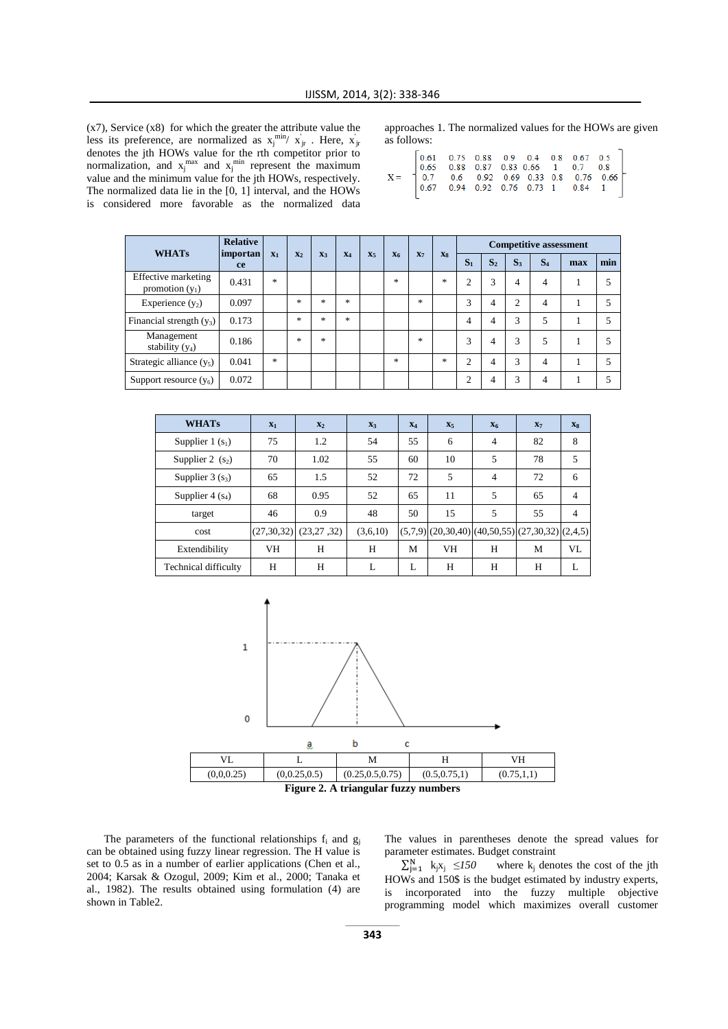(x7), Service (x8) for which the greater the attribute value the less its preference, are normalized as  $x_j^{\min/} x_{jr}$ . Here,  $x_{jr}$ denotes the jth HOWs value for the rth competitor prior to normalization, and  $x_j^{\text{max}}$  and  $x_j^{\text{min}}$  represent the maximum value and the minimum value for the jth HOWs, respectively. The normalized data lie in the [0, 1] interval, and the HOWs is considered more favorable as the normalized data

approaches 1. The normalized values for the HOWs are given as follows:

| $\footnotesize \mathbf{X} = \begin{bmatrix} 0.61 & 0.75 & 0.88 & 0.9 & 0.4 & 0.8 & 0.67 & 0.5 \\ 0.65 & 0.88 & 0.87 & 0.83 & 0.66 & 1 & 0.7 & 0.8 \\ 0.7 & 0.6 & 0.92 & 0.69 & 0.33 & 0.8 & 0.76 & 0.66 \\ 0.67 & 0.94 & 0.92 & 0.76 & 0.73 & 1 & 0.84 & 1 \end{bmatrix}$ |  |
|---------------------------------------------------------------------------------------------------------------------------------------------------------------------------------------------------------------------------------------------------------------------------|--|
|---------------------------------------------------------------------------------------------------------------------------------------------------------------------------------------------------------------------------------------------------------------------------|--|

| <b>WHATs</b>                             | <b>Relative</b> | importan<br>$X_4$ |        | <b>Competitive assessment</b> |        |                |                |               |       |                |                |       |       |     |     |
|------------------------------------------|-----------------|-------------------|--------|-------------------------------|--------|----------------|----------------|---------------|-------|----------------|----------------|-------|-------|-----|-----|
|                                          | ce              | $X_1$             | $X_2$  | $X_3$                         |        | X <sub>5</sub> | X <sub>6</sub> | $X_7$         | $X_8$ | S <sub>1</sub> | S <sub>2</sub> | $S_3$ | $S_4$ | max | min |
| Effective marketing<br>promotion $(y_1)$ | 0.431           | $\ast$            |        |                               |        |                | $\ast$         |               | *     | $\overline{c}$ | 3              |       | 4     |     | 5   |
| Experience $(y_2)$                       | 0.097           |                   | $\ast$ | $\ast$                        | $\ast$ |                |                | $\ast$        |       | 3              | 4              | ◠     | 4     |     | 5   |
| Financial strength $(y_3)$               | 0.173           |                   | $\ast$ | $\ast$                        | $\ast$ |                |                |               |       | 4              | 4              | 3     | 5     |     | 5   |
| Management<br>stability $(y_4)$          | 0.186           |                   | $\ast$ | $\ast$                        |        |                |                | $\frac{1}{2}$ |       | 3              | 4              | 3     | 5     |     | 5   |
| Strategic alliance $(y_5)$               | 0.041           | $\ast$            |        |                               |        |                | $\ast$         |               | 永     | $\overline{c}$ | 4              | 3     | 4     |     | 5   |
| Support resource $(y_6)$                 | 0.072           |                   |        |                               |        |                |                |               |       | ◠              | 4              | 3     | 4     |     | 5   |

| <b>WHATs</b>                | $X_1$        | $X_2$        | $X_3$    | $X_4$ | $X_5$ | X <sub>6</sub> | $X_7$                                                      | X <sub>8</sub> |
|-----------------------------|--------------|--------------|----------|-------|-------|----------------|------------------------------------------------------------|----------------|
| Supplier 1 $(s_1)$          | 75           | 1.2          | 54       | 55    | 6     | $\overline{4}$ | 82                                                         | 8              |
| Supplier 2 $(s_2)$          | 70           | 1.02         | 55       | 60    | 10    | 5              | 78                                                         | 5              |
| Supplier $3(s_3)$           | 65           | 1.5          | 52       | 72    | 5     | $\overline{4}$ | 72                                                         | 6              |
| Supplier $4(s_4)$           | 68           | 0.95         | 52       | 65    | 11    | 5              | 65                                                         | $\overline{4}$ |
| target                      | 46           | 0.9          | 48       | 50    | 15    | 5              | 55                                                         | 4              |
| cost                        | (27, 30, 32) | (23, 27, 32) | (3,6,10) |       |       |                | $(5,7,9)$ $(20,30,40)$ $(40,50,55)$ $(27,30,32)$ $(2,4,5)$ |                |
| Extendibility               | VH           | H            | H        | М     | VH    | H              | M                                                          | VL             |
| <b>Technical difficulty</b> | H            | H            | L        | L     | H     | Н              | H                                                          |                |





The parameters of the functional relationships  $f_i$  and  $g_j$ can be obtained using fuzzy linear regression. The H value is set to 0.5 as in a number of earlier applications (Chen et al., 2004; Karsak & Ozogul, 2009; Kim et al., 2000; Tanaka et al., 1982). The results obtained using formulation (4) are shown in Table2.

The values in parentheses denote the spread values for parameter estimates. Budget constraint

 $\sum_{j=1}^{N} k_j x_j$ where  $k_i$  denotes the cost of the jth HOWs and 150\$ is the budget estimated by industry experts, is incorporated into the fuzzy multiple objective programming model which maximizes overall customer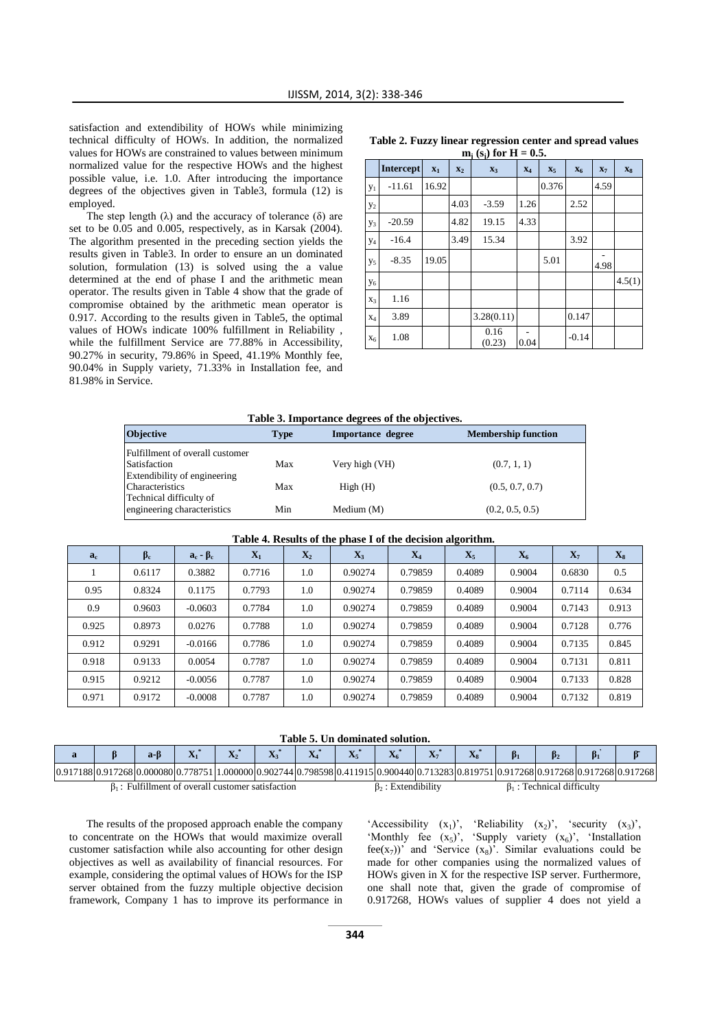satisfaction and extendibility of HOWs while minimizing technical difficulty of HOWs. In addition, the normalized values for HOWs are constrained to values between minimum normalized value for the respective HOWs and the highest possible value, i.e. 1.0. After introducing the importance degrees of the objectives given in Table3, formula (12) is employed.

The step length  $(\lambda)$  and the accuracy of tolerance  $(\delta)$  are set to be 0.05 and 0.005, respectively, as in Karsak (2004). The algorithm presented in the preceding section yields the results given in Table3. In order to ensure an un dominated solution, formulation (13) is solved using the a value determined at the end of phase I and the arithmetic mean operator. The results given in Table 4 show that the grade of compromise obtained by the arithmetic mean operator is 0.917. According to the results given in Table5, the optimal values of HOWs indicate 100% fulfillment in Reliability , while the fulfillment Service are 77.88% in Accessibility, 90.27% in security, 79.86% in Speed, 41.19% Monthly fee, 90.04% in Supply variety, 71.33% in Installation fee, and 81.98% in Service.

|                       | $m_i$ (s <sub>i</sub> ) for H = 0.5. |       |       |                |       |       |         |       |        |  |  |  |  |
|-----------------------|--------------------------------------|-------|-------|----------------|-------|-------|---------|-------|--------|--|--|--|--|
|                       | <b>Intercept</b>                     | $X_1$ | $X_2$ | $X_3$          | $X_4$ | $X_5$ | $X_6$   | $X_7$ | $X_8$  |  |  |  |  |
| $y_1$                 | $-11.61$                             | 16.92 |       |                |       | 0.376 |         | 4.59  |        |  |  |  |  |
| $y_2$                 |                                      |       | 4.03  | $-3.59$        | 1.26  |       | 2.52    |       |        |  |  |  |  |
| $y_3$                 | $-20.59$                             |       | 4.82  | 19.15          | 4.33  |       |         |       |        |  |  |  |  |
| $y_4$                 | $-16.4$                              |       | 3.49  | 15.34          |       |       | 3.92    |       |        |  |  |  |  |
| <b>y</b> <sub>5</sub> | $-8.35$                              | 19.05 |       |                |       | 5.01  |         | 4.98  |        |  |  |  |  |
| y <sub>6</sub>        |                                      |       |       |                |       |       |         |       | 4.5(1) |  |  |  |  |
| X3                    | 1.16                                 |       |       |                |       |       |         |       |        |  |  |  |  |
| $X_4$                 | 3.89                                 |       |       | 3.28(0.11)     |       |       | 0.147   |       |        |  |  |  |  |
| $X_6$                 | 1.08                                 |       |       | 0.16<br>(0.23) | 0.04  |       | $-0.14$ |       |        |  |  |  |  |

# **Table 2. Fuzzy linear regression center and spread values**

#### **Table 3. Importance degrees of the objectives.**

| <b>Objective</b>                | <b>Type</b> | Importance degree | <b>Membership function</b> |
|---------------------------------|-------------|-------------------|----------------------------|
| Fulfillment of overall customer |             |                   |                            |
| Satisfaction                    | Max         | Very high (VH)    | (0.7, 1, 1)                |
| Extendibility of engineering    |             |                   |                            |
| Characteristics                 | Max         | High(H)           | (0.5, 0.7, 0.7)            |
| Technical difficulty of         |             |                   |                            |
| engineering characteristics     | Min         | Medium $(M)$      | (0.2, 0.5, 0.5)            |

#### **Table 4. Results of the phase I of the decision algorithm.**

| a <sub>c</sub> | $\beta_c$ | $a_c - \beta_c$ | $\mathbf{X}_1$ | $X_2$ | $X_3$   | $X_4$   | $\mathbf{X}_5$ | $\mathbf{X}_6$ | $\mathbf{X}_7$ | $\mathbf{X}_8$ |
|----------------|-----------|-----------------|----------------|-------|---------|---------|----------------|----------------|----------------|----------------|
|                | 0.6117    | 0.3882          | 0.7716         | 1.0   | 0.90274 | 0.79859 | 0.4089         | 0.9004         | 0.6830         | 0.5            |
| 0.95           | 0.8324    | 0.1175          | 0.7793         | 1.0   | 0.90274 | 0.79859 | 0.4089         | 0.9004         | 0.7114         | 0.634          |
| 0.9            | 0.9603    | $-0.0603$       | 0.7784         | 1.0   | 0.90274 | 0.79859 | 0.4089         | 0.9004         | 0.7143         | 0.913          |
| 0.925          | 0.8973    | 0.0276          | 0.7788         | 1.0   | 0.90274 | 0.79859 | 0.4089         | 0.9004         | 0.7128         | 0.776          |
| 0.912          | 0.9291    | $-0.0166$       | 0.7786         | 1.0   | 0.90274 | 0.79859 | 0.4089         | 0.9004         | 0.7135         | 0.845          |
| 0.918          | 0.9133    | 0.0054          | 0.7787         | 1.0   | 0.90274 | 0.79859 | 0.4089         | 0.9004         | 0.7131         | 0.811          |
| 0.915          | 0.9212    | $-0.0056$       | 0.7787         | 1.0   | 0.90274 | 0.79859 | 0.4089         | 0.9004         | 0.7133         | 0.828          |
| 0.971          | 0.9172    | $-0.0008$       | 0.7787         | 1.0   | 0.90274 | 0.79859 | 0.4089         | 0.9004         | 0.7132         | 0.819          |

**Table 5. Un dominated solution.**

|                                                |  | a-H |  |  |                                                                                                                                                          |  | $\mathbf{r}$  | $\mathbf{r}$ | D.                   |  |
|------------------------------------------------|--|-----|--|--|----------------------------------------------------------------------------------------------------------------------------------------------------------|--|---------------|--------------|----------------------|--|
|                                                |  |     |  |  | 0.917188 0.917268 0.000080 0.778751 1.000000 0.902744 0.798598 0.411915 0.900440 0.713283 0.819751 0.917268 0.917268 0.917268 0.917268 0.917268 0.917268 |  |               |              |                      |  |
| : Fulfillment of overall customer satisfaction |  |     |  |  |                                                                                                                                                          |  | Extendibility |              | Technical difficultv |  |

The results of the proposed approach enable the company to concentrate on the HOWs that would maximize overall customer satisfaction while also accounting for other design objectives as well as availability of financial resources. For example, considering the optimal values of HOWs for the ISP server obtained from the fuzzy multiple objective decision framework, Company 1 has to improve its performance in

'Accessibility  $(x_1)$ ', 'Reliability  $(x_2)$ ', 'security  $(x_3)$ ', 'Monthly fee  $(x_5)$ ', 'Supply variety  $(x_6)$ ', 'Installation fee( $x_7$ ))' and 'Service ( $x_8$ )'. Similar evaluations could be made for other companies using the normalized values of HOWs given in X for the respective ISP server. Furthermore, one shall note that, given the grade of compromise of 0.917268, HOWs values of supplier 4 does not yield a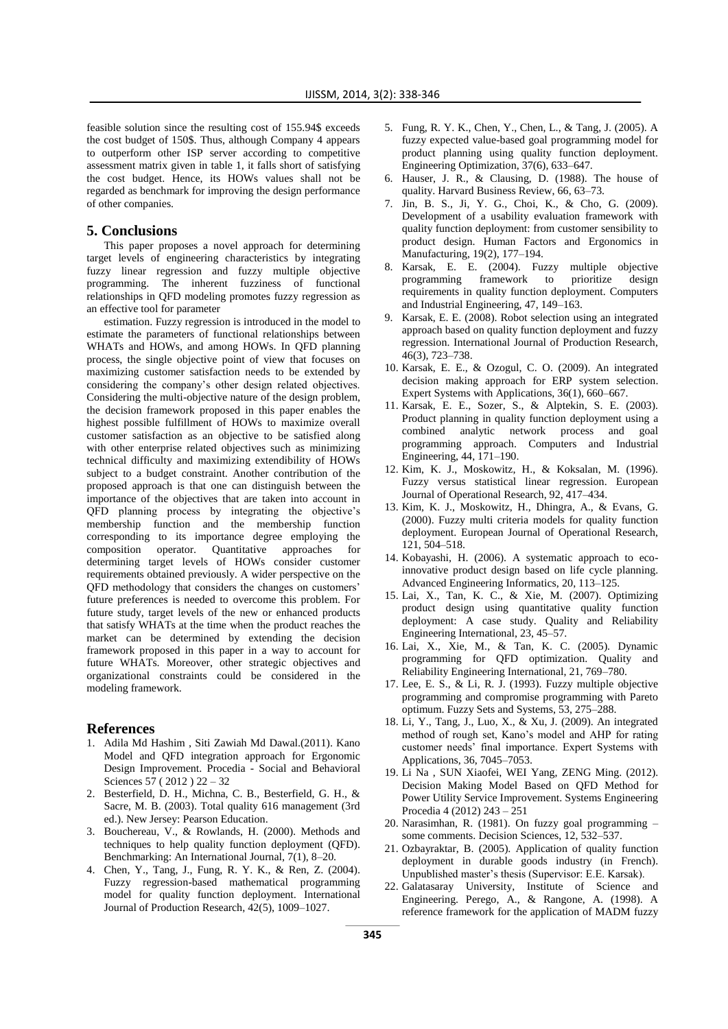feasible solution since the resulting cost of 155.94\$ exceeds the cost budget of 150\$. Thus, although Company 4 appears to outperform other ISP server according to competitive assessment matrix given in table 1, it falls short of satisfying the cost budget. Hence, its HOWs values shall not be regarded as benchmark for improving the design performance of other companies.

#### **5. Conclusions**

This paper proposes a novel approach for determining target levels of engineering characteristics by integrating fuzzy linear regression and fuzzy multiple objective programming. The inherent fuzziness of functional relationships in QFD modeling promotes fuzzy regression as an effective tool for parameter

estimation. Fuzzy regression is introduced in the model to estimate the parameters of functional relationships between WHATs and HOWs, and among HOWs. In QFD planning process, the single objective point of view that focuses on maximizing customer satisfaction needs to be extended by considering the company's other design related objectives. Considering the multi-objective nature of the design problem, the decision framework proposed in this paper enables the highest possible fulfillment of HOWs to maximize overall customer satisfaction as an objective to be satisfied along with other enterprise related objectives such as minimizing technical difficulty and maximizing extendibility of HOWs subject to a budget constraint. Another contribution of the proposed approach is that one can distinguish between the importance of the objectives that are taken into account in QFD planning process by integrating the objective's membership function and the membership function corresponding to its importance degree employing the composition operator. Quantitative approaches for determining target levels of HOWs consider customer requirements obtained previously. A wider perspective on the QFD methodology that considers the changes on customers' future preferences is needed to overcome this problem. For future study, target levels of the new or enhanced products that satisfy WHATs at the time when the product reaches the market can be determined by extending the decision framework proposed in this paper in a way to account for future WHATs. Moreover, other strategic objectives and organizational constraints could be considered in the modeling framework.

#### **References**

- 1. Adila Md Hashim , Siti Zawiah Md Dawal.(2011). Kano Model and QFD integration approach for Ergonomic Design Improvement. Procedia - Social and Behavioral Sciences 57 ( 2012 ) 22 – 32
- 2. Besterfield, D. H., Michna, C. B., Besterfield, G. H., & Sacre, M. B. (2003). Total quality 616 management (3rd ed.). New Jersey: Pearson Education.
- 3. Bouchereau, V., & Rowlands, H. (2000). Methods and techniques to help quality function deployment (QFD). Benchmarking: An International Journal, 7(1), 8–20.
- 4. Chen, Y., Tang, J., Fung, R. Y. K., & Ren, Z. (2004). Fuzzy regression-based mathematical programming model for quality function deployment. International Journal of Production Research, 42(5), 1009–1027.
- 5. Fung, R. Y. K., Chen, Y., Chen, L., & Tang, J. (2005). A fuzzy expected value-based goal programming model for product planning using quality function deployment. Engineering Optimization, 37(6), 633–647.
- 6. Hauser, J. R., & Clausing, D. (1988). The house of quality. Harvard Business Review, 66, 63–73.
- 7. Jin, B. S., Ji, Y. G., Choi, K., & Cho, G. (2009). Development of a usability evaluation framework with quality function deployment: from customer sensibility to product design. Human Factors and Ergonomics in Manufacturing, 19(2), 177–194.
- 8. Karsak, E. E. (2004). Fuzzy multiple objective programming framework to prioritize design requirements in quality function deployment. Computers and Industrial Engineering, 47, 149–163.
- 9. Karsak, E. E. (2008). Robot selection using an integrated approach based on quality function deployment and fuzzy regression. International Journal of Production Research, 46(3), 723–738.
- 10. Karsak, E. E., & Ozogul, C. O. (2009). An integrated decision making approach for ERP system selection. Expert Systems with Applications, 36(1), 660–667.
- 11. Karsak, E. E., Sozer, S., & Alptekin, S. E. (2003). Product planning in quality function deployment using a combined analytic network process and goal programming approach. Computers and Industrial Engineering, 44, 171–190.
- 12. Kim, K. J., Moskowitz, H., & Koksalan, M. (1996). Fuzzy versus statistical linear regression. European Journal of Operational Research, 92, 417–434.
- 13. Kim, K. J., Moskowitz, H., Dhingra, A., & Evans, G. (2000). Fuzzy multi criteria models for quality function deployment. European Journal of Operational Research, 121, 504–518.
- 14. Kobayashi, H. (2006). A systematic approach to ecoinnovative product design based on life cycle planning. Advanced Engineering Informatics, 20, 113–125.
- 15. Lai, X., Tan, K. C., & Xie, M. (2007). Optimizing product design using quantitative quality function deployment: A case study. Quality and Reliability Engineering International, 23, 45–57.
- 16. Lai, X., Xie, M., & Tan, K. C. (2005). Dynamic programming for QFD optimization. Quality and Reliability Engineering International, 21, 769–780.
- 17. Lee, E. S., & Li, R. J. (1993). Fuzzy multiple objective programming and compromise programming with Pareto optimum. Fuzzy Sets and Systems, 53, 275–288.
- 18. Li, Y., Tang, J., Luo, X., & Xu, J. (2009). An integrated method of rough set, Kano's model and AHP for rating customer needs' final importance. Expert Systems with Applications, 36, 7045–7053.
- 19. Li Na , SUN Xiaofei, WEI Yang, ZENG Ming. (2012). Decision Making Model Based on QFD Method for Power Utility Service Improvement. Systems Engineering Procedia 4 (2012) 243 – 251
- 20. Narasimhan, R. (1981). On fuzzy goal programming some comments. Decision Sciences, 12, 532–537.
- 21. Ozbayraktar, B. (2005). Application of quality function deployment in durable goods industry (in French). Unpublished master's thesis (Supervisor: E.E. Karsak).
- 22. Galatasaray University, Institute of Science and Engineering. Perego, A., & Rangone, A. (1998). A reference framework for the application of MADM fuzzy